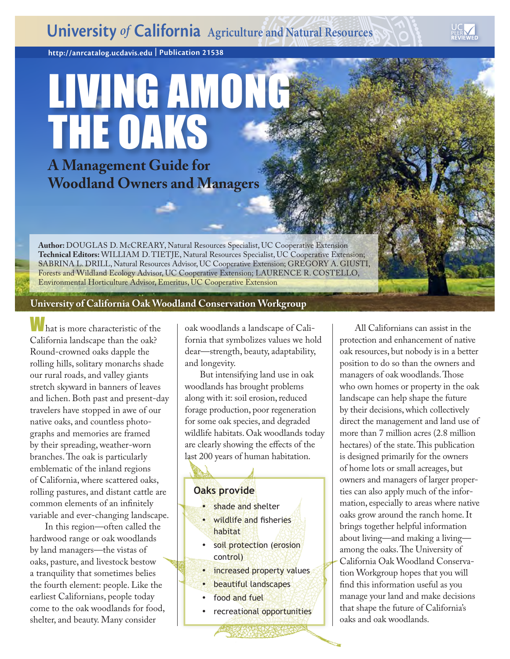**http://anrcatalog.ucdavis.ed[u](http://anrcatalog.ucdavis.edu) | Publication 21538**

# LIVING AMONG THE OAKS **A Management Guide for Woodland Owners and Managers**

**Author:** DOUGLAS D. McCREARY, Natural Resources Specialist, UC Cooperative Extension **Technical Editors:** WILLIAM D. TIETJE, Natural Resources Specialist, UC Cooperative Extension; SABRINA L. DRILL, Natural Resources Advisor, UC Cooperative Extension; GREGORY A. GIUSTI, Forests and Wildland Ecology Advisor, UC Cooperative Extension; LAURENCE R. COSTELLO, Environmental Horticulture Advisor, Emeritus, UC Cooperative Extension

# **University of California Oak Woodland Conservation Workgroup**

What is more characteristic of the California landscape than the oak? Round-crowned oaks dapple the rolling hills, solitary monarchs shade our rural roads, and valley giants stretch skyward in banners of leaves and lichen. Both past and present-day travelers have stopped in awe of our native oaks, and countless photographs and memories are framed by their spreading, weather-worn branches. The oak is particularly emblematic of the inland regions of California, where scattered oaks, rolling pastures, and distant cattle are common elements of an infinitely variable and ever-changing landscape.

In this region—often called the hardwood range or oak woodlands by land managers—the vistas of oaks, pasture, and livestock bestow a tranquility that sometimes belies the fourth element: people. Like the earliest Californians, people today come to the oak woodlands for food, shelter, and beauty. Many consider

oak woodlands a landscape of California that symbolizes values we hold dear—strength, beauty, adaptability, and longevity.

But intensifying land use in oak woodlands has brought problems along with it: soil erosion, reduced forage production, poor regeneration for some oak species, and degraded wildlife habitats. Oak woodlands today are clearly showing the effects of the last 200 years of human habitation.

# **Oaks provide**

- shade and shelter
- wildlife and fisheries habitat
- soil protection (erosion control)
- increased property values
- beautiful landscapes
- food and fuel
- recreational opportunities

All Californians can assist in the protection and enhancement of native oak resources, but nobody is in a better position to do so than the owners and managers of oak woodlands. Those who own homes or property in the oak landscape can help shape the future by their decisions, which collectively direct the management and land use of more than 7 million acres (2.8 million hectares) of the state. This publication is designed primarily for the owners of home lots or small acreages, but owners and managers of larger properties can also apply much of the information, especially to areas where native oaks grow around the ranch home. It brings together helpful information about living—and making a living among the oaks. The University of California Oak Woodland Conservation Workgroup hopes that you will find this information useful as you manage your land and make decisions that shape the future of California's oaks and oak woodlands.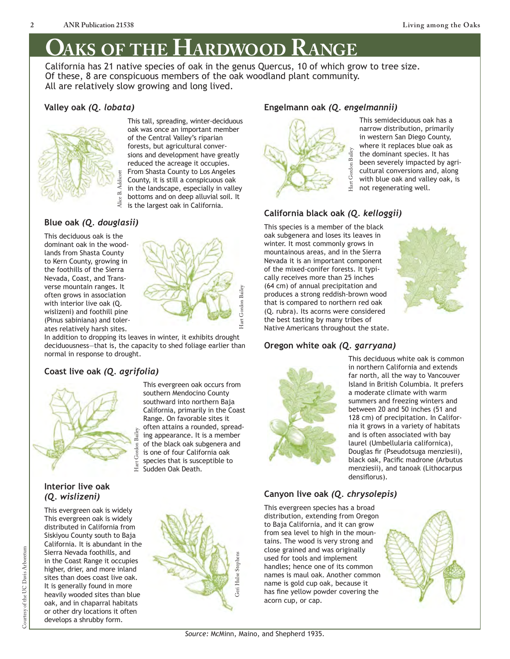# **Oaks of the Hardwood Range**

California has 21 native species of oak in the genus Quercus, 10 of which grow to tree size. Of these, 8 are conspicuous members of the oak woodland plant community. All are relatively slow growing and long lived.

# **Valley oak** *(Q. lobata)*



This tall, spreading, winter-deciduous oak was once an important member of the Central Valley's riparian forests, but agricultural conversions and development have greatly reduced the acreage it occupies. From Shasta County to Los Angeles County, it is still a conspicuous oak in the landscape, especially in valley bottoms and on deep alluvial soil. It is the largest oak in California.

# **Blue oak** *(Q. douglasii)*

This deciduous oak is the dominant oak in the woodlands from Shasta County to Kern County, growing in the foothills of the Sierra Nevada, Coast, and Transverse mountain ranges. It often grows in association with interior live oak (Q. wislizeni) and foothill pine (Pinus sabiniana) and tolerates relatively harsh sites.

Hart Gordon Bailey Iart Gordon Ba

In addition to dropping its leaves in winter, it exhibits drought deciduousness—that is, the capacity to shed foliage earlier than normal in response to drought.

# **Coast live oak** *(Q. agrifolia)*



*(Q. wislizeni)*

#### Hart Gordon Bailey is one of four California oak species that is susceptible to  $\operatorname{Hart}$ Sudden Oak Death. **Interior live oak**

This evergreen oak is widely This evergreen oak is widely distributed in California from Siskiyou County south to Baja California. It is abundant in the Sierra Nevada foothills, and in the Coast Range it occupies higher, drier, and more inland sites than does coast live oak. It is generally found in more heavily wooded sites than blue oak, and in chaparral habitats or other dry locations it often develops a shrubby form.



### **Engelmann oak** *(Q. engelmannii)*



This semideciduous oak has a narrow distribution, primarily in western San Diego County, where it replaces blue oak as the dominant species. It has been severely impacted by agricultural conversions and, along with blue oak and valley oak, is not regenerating well.

# **California black oak** *(Q. kelloggii)*

This species is a member of the black oak subgenera and loses its leaves in winter. It most commonly grows in mountainous areas, and in the Sierra Nevada it is an important component of the mixed-conifer forests. It typically receives more than 25 inches (64 cm) of annual precipitation and produces a strong reddish-brown wood that is compared to northern red oak (Q. rubra). Its acorns were considered the best tasting by many tribes of Native Americans throughout the state.

## **Oregon white oak** *(Q. garryana)*



This deciduous white oak is common in northern California and extends far north, all the way to Vancouver Island in British Columbia. It prefers a moderate climate with warm summers and freezing winters and between 20 and 50 inches (51 and 128 cm) of precipitation. In California it grows in a variety of habitats and is often associated with bay laurel (Umbellularia californica), Douglas fir (Pseudotsuga menziesii), black oak, Pacific madrone (Arbutus menziesii), and tanoak (Lithocarpus densiflorus).

# **Canyon live oak** *(Q. chrysolepis)*

This evergreen species has a broad distribution, extending from Oregon to Baja California, and it can grow from sea level to high in the mountains. The wood is very strong and close grained and was originally used for tools and implement handles; hence one of its common names is maul oak. Another common name is gold cup oak, because it has fine yellow powder covering the acorn cup, or cap.





southward into northern Baja California, primarily in the Coast Range. On favorable sites it often attains a rounded, spreading appearance. It is a member of the black oak subgenera and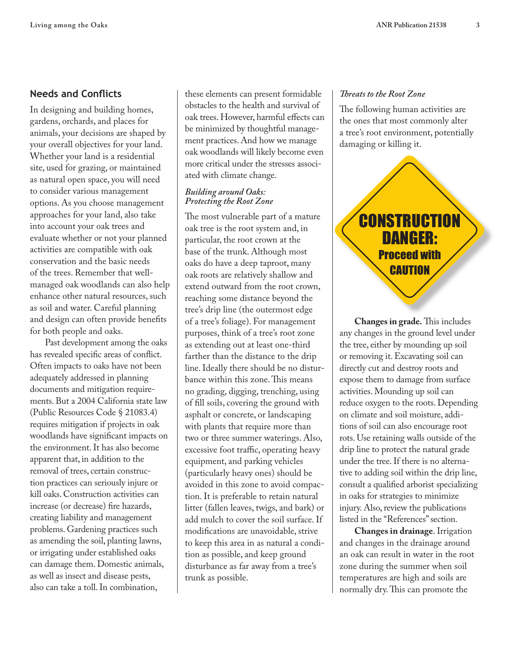# **Needs and Conflicts**

In designing and building homes, gardens, orchards, and places for animals, your decisions are shaped by your overall objectives for your land. Whether your land is a residential site, used for grazing, or maintained as natural open space, you will need to consider various management options. As you choose management approaches for your land, also take into account your oak trees and evaluate whether or not your planned activities are compatible with oak conservation and the basic needs of the trees. Remember that wellmanaged oak woodlands can also help enhance other natural resources, such as soil and water. Careful planning and design can often provide benefits for both people and oaks.

Past development among the oaks has revealed specific areas of conflict. Often impacts to oaks have not been adequately addressed in planning documents and mitigation requirements. But a 2004 California state law (Public Resources Code § 21083.4) requires mitigation if projects in oak woodlands have significant impacts on the environment. It has also become apparent that, in addition to the removal of trees, certain construction practices can seriously injure or kill oaks. Construction activities can increase (or decrease) fire hazards, creating liability and management problems. Gardening practices such as amending the soil, planting lawns, or irrigating under established oaks can damage them. Domestic animals, as well as insect and disease pests, also can take a toll. In combination,

these elements can present formidable obstacles to the health and survival of oak trees. However, harmful effects can be minimized by thoughtful management practices. And how we manage oak woodlands will likely become even more critical under the stresses associated with climate change.

#### *Building around Oaks: Protecting the Root Zone*

The most vulnerable part of a mature oak tree is the root system and, in particular, the root crown at the base of the trunk. Although most oaks do have a deep taproot, many oak roots are relatively shallow and extend outward from the root crown, reaching some distance beyond the tree's drip line (the outermost edge of a tree's foliage). For management purposes, think of a tree's root zone as extending out at least one-third farther than the distance to the drip line. Ideally there should be no disturbance within this zone. This means no grading, digging, trenching, using of fill soils, covering the ground with asphalt or concrete, or landscaping with plants that require more than two or three summer waterings. Also, excessive foot traffic, operating heavy equipment, and parking vehicles (particularly heavy ones) should be avoided in this zone to avoid compaction. It is preferable to retain natural litter (fallen leaves, twigs, and bark) or add mulch to cover the soil surface. If modifications are unavoidable, strive to keep this area in as natural a condition as possible, and keep ground disturbance as far away from a tree's trunk as possible.

#### *Threats to the Root Zone*

The following human activities are the ones that most commonly alter a tree's root environment, potentially damaging or killing it.



**Changes in grade.** This includes any changes in the ground level under the tree, either by mounding up soil or removing it. Excavating soil can directly cut and destroy roots and expose them to damage from surface activities. Mounding up soil can reduce oxygen to the roots. Depending on climate and soil moisture, additions of soil can also encourage root rots. Use retaining walls outside of the drip line to protect the natural grade under the tree. If there is no alternative to adding soil within the drip line, consult a qualified arborist specializing in oaks for strategies to minimize injury. Also, review the publications listed in the "References" section.

**Changes in drainage**. Irrigation and changes in the drainage around an oak can result in water in the root zone during the summer when soil temperatures are high and soils are normally dry. This can promote the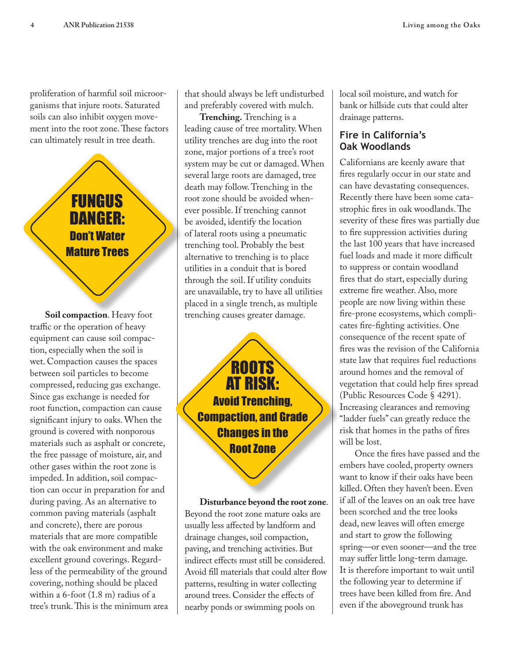proliferation of harmful soil microorganisms that injure roots. Saturated soils can also inhibit oxygen movement into the root zone. These factors can ultimately result in tree death.

# FUNGUS DANGER: Don't Water Mature Trees

**Soil compaction**. Heavy foot traffic or the operation of heavy equipment can cause soil compaction, especially when the soil is wet. Compaction causes the spaces between soil particles to become compressed, reducing gas exchange. Since gas exchange is needed for root function, compaction can cause significant injury to oaks. When the ground is covered with nonporous materials such as asphalt or concrete, the free passage of moisture, air, and other gases within the root zone is impeded. In addition, soil compaction can occur in preparation for and during paving. As an alternative to common paving materials (asphalt and concrete), there are porous materials that are more compatible with the oak environment and make excellent ground coverings. Regardless of the permeability of the ground covering, nothing should be placed within a 6-foot (1.8 m) radius of a tree's trunk. This is the minimum area that should always be left undisturbed and preferably covered with mulch.

**Trenching.** Trenching is a leading cause of tree mortality. When utility trenches are dug into the root zone, major portions of a tree's root system may be cut or damaged. When several large roots are damaged, tree death may follow. Trenching in the root zone should be avoided whenever possible. If trenching cannot be avoided, identify the location of lateral roots using a pneumatic trenching tool. Probably the best alternative to trenching is to place utilities in a conduit that is bored through the soil. If utility conduits are unavailable, try to have all utilities placed in a single trench, as multiple trenching causes greater damage.

**ROOTS** AT RISK: Avoid Trenching, Compaction, and Grade Changes in the Root Zone

**Disturbance beyond the root zone**. Beyond the root zone mature oaks are usually less affected by landform and drainage changes, soil compaction, paving, and trenching activities. But indirect effects must still be considered. Avoid fill materials that could alter flow patterns, resulting in water collecting around trees. Consider the effects of nearby ponds or swimming pools on

local soil moisture, and watch for bank or hillside cuts that could alter drainage patterns.

# **Fire in California's Oak Woodlands**

Californians are keenly aware that fires regularly occur in our state and can have devastating consequences. Recently there have been some catastrophic fires in oak woodlands. The severity of these fires was partially due to fire suppression activities during the last 100 years that have increased fuel loads and made it more difficult to suppress or contain woodland fires that do start, especially during extreme fire weather. Also, more people are now living within these fire-prone ecosystems, which complicates fire-fighting activities. One consequence of the recent spate of fires was the revision of the California state law that requires fuel reductions around homes and the removal of vegetation that could help fires spread (Public Resources Code § 4291). Increasing clearances and removing "ladder fuels" can greatly reduce the risk that homes in the paths of fires will be lost.

Once the fires have passed and the embers have cooled, property owners want to know if their oaks have been killed. Often they haven't been. Even if all of the leaves on an oak tree have been scorched and the tree looks dead, new leaves will often emerge and start to grow the following spring—or even sooner—and the tree may suffer little long-term damage. It is therefore important to wait until the following year to determine if trees have been killed from fire. And even if the aboveground trunk has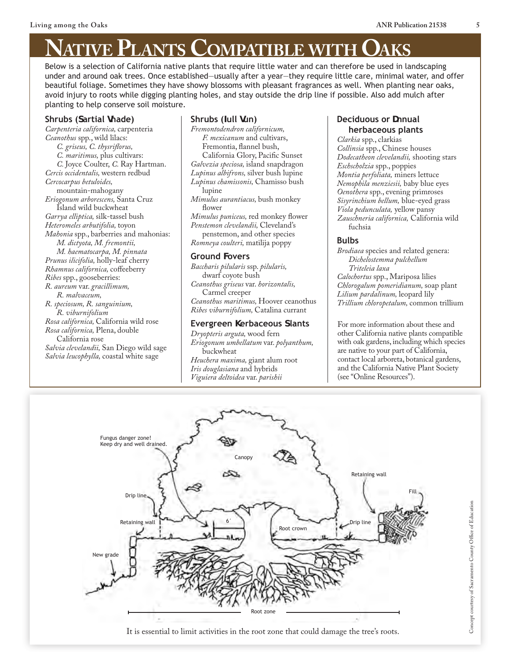# **NATIVE PLANTS COMPATIBLE WITH CAKS**<br>Below is a selection of California native plants that require little water and can therefore be used in landscaping

under and around oak trees. Once established—usually after a year—they require little care, minimal water, and offer beautiful foliage. Sometimes they have showy blossoms with pleasant fragrances as well. When planting near oaks, avoid injury to roots while digging planting holes, and stay outside the drip line if possible. Also add mulch after planting to help conserve soil moisture.

#### **Shrubs (Sartial Vhade)**

*Carpenteria californica,* carpenteria *Ceanothus* spp., wild lilacs: *C. griseus, C. thysriflorus, C. maritimus,* plus cultivars: *C.* Joyce Coulter, *C.* Ray Hartman. *Cercis occidentalis,* western redbud *Cercocarpus betuloides,* mountain-mahogany *Eriogonum arborescens,* Santa Cruz Island wild buckwheat *Garrya elliptica,* silk-tassel bush *Heteromeles arbutifolia,* toyon *Mahonia* spp., barberries and mahonias: *M. dictyota, M. fremontii, M. haematocarpa, M. pinnata Prunus ilicifolia,* holly-leaf cherry *Rhamnus californica,* coffeeberry *Ribes* spp., gooseberries: *R. aureum* var. *gracillimum, R. malvaceum, R. speciosum, R. sanguinium, R. viburnifolium Rosa californica,* California wild rose *Rosa californica,* Plena, double California rose *Salvia clevelandii,* San Diego wild sage *Salvia leucophylla,* coastal white sage

# **Shrubs (***I***ull** *gun***)**

*Fremontodendron californicum, F. mexicanum* and cultivars, Fremontia, flannel bush, California Glory, Pacific Sunset *Galvezia speciosa,* island snapdragon *Lupinus albifrons,* silver bush lupine *Lupinus chamissonis,* Chamisso bush lupine *Mimulus aurantiacus,* bush monkey flower *Mimulus puniceus,* red monkey flower *Penstemon clevelandii,* Cleveland's penstemon, and other species *Romneya coulteri,* matilija poppy

#### **Ground Vovers**

*Baccharis pilularis* ssp. *pilularis,*  dwarf coyote bush *Ceanothus griseus* var. *horizontalis,*  Carmel creeper *Ceanothus maritimus,* Hoover ceanothus *Ribes viburnifolium,* Catalina currant

#### **Evergreen \erbaceous dlants**

*Dryopteris arguta,* wood fern *Eriogonum umbellatum* var. *polyanthum,*  buckwheat *Heuchera maxima,* giant alum root *Iris douglasiana* and hybrids *Viguiera deltoidea* var. *parishii*

#### **Deciduous or Unnual herbaceous plants**

*Clarkia* spp., clarkias *Collinsia* spp., Chinese houses *Dodecatheon clevelandii,* shooting stars *Eschscholzia* spp., poppies *Montia perfoliata,* miners lettuce *Nemophila menziesii,* baby blue eyes *Oenothera* spp., evening primroses *Sisyrinchium bellum,* blue-eyed grass *Viola pedunculata,* yellow pansy *Zauschneria californica,* California wild fuchsia

#### **Bulbs**

*Brodiaea* species and related genera: *Dichelostemma pulchellum Triteleia laxa Calochortus* spp., Mariposa lilies *Chlorogalum pomeridianum,* soap plant *Lilium pardalinum,* leopard lily *Trillium chloropetalum,* common trillium

For more information about these and other California native plants compatible with oak gardens, including which species are native to your part of California, contact local arboreta, botanical gardens, and the California Native Plant Society (see "Online Resources").

> Concept courtesy of Sacramento County Office of Education Concept courtesy of Sacramento County Office of Education



It is essential to limit activities in the root zone that could damage the tree's roots.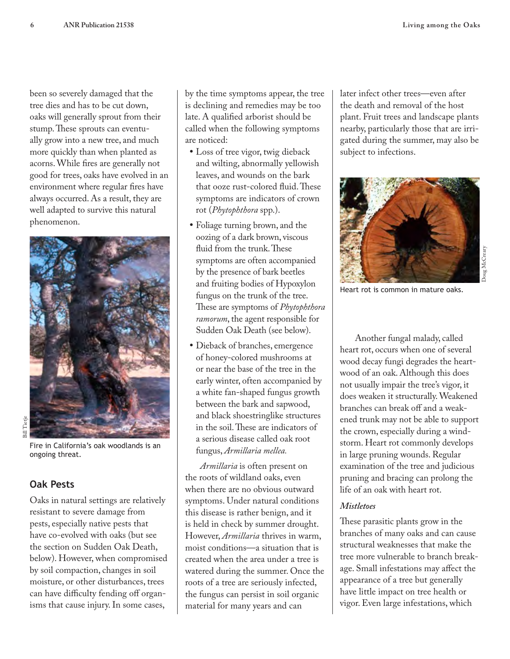been so severely damaged that the tree dies and has to be cut down, oaks will generally sprout from their stump. These sprouts can eventually grow into a new tree, and much more quickly than when planted as acorns. While fires are generally not good for trees, oaks have evolved in an environment where regular fires have always occurred. As a result, they are well adapted to survive this natural phenomenon.



Fire in California's oak woodlands is an ongoing threat.

# **Oak Pests**

Oaks in natural settings are relatively resistant to severe damage from pests, especially native pests that have co-evolved with oaks (but see the section on Sudden Oak Death, below). However, when compromised by soil compaction, changes in soil moisture, or other disturbances, trees can have difficulty fending off organisms that cause injury. In some cases,

by the time symptoms appear, the tree is declining and remedies may be too late. A qualified arborist should be called when the following symptoms are noticed:

- Loss of tree vigor, twig dieback and wilting, abnormally yellowish leaves, and wounds on the bark that ooze rust-colored fluid. These symptoms are indicators of crown rot (*Phytophthora* spp.).
- • Foliage turning brown, and the oozing of a dark brown, viscous fluid from the trunk. These symptoms are often accompanied by the presence of bark beetles and fruiting bodies of Hypoxylon fungus on the trunk of the tree. These are symptoms of *Phytophthora ramorum*, the agent responsible for Sudden Oak Death (see below).
- • Dieback of branches, emergence of honey-colored mushrooms at or near the base of the tree in the early winter, often accompanied by a white fan-shaped fungus growth between the bark and sapwood, and black shoestringlike structures in the soil. These are indicators of a serious disease called oak root fungus, *Armillaria mellea.*

*Armillaria* is often present on the roots of wildland oaks, even when there are no obvious outward symptoms. Under natural conditions this disease is rather benign, and it is held in check by summer drought. However, *Armillaria* thrives in warm, moist conditions—a situation that is created when the area under a tree is watered during the summer. Once the roots of a tree are seriously infected, the fungus can persist in soil organic material for many years and can

later infect other trees—even after the death and removal of the host plant. Fruit trees and landscape plants nearby, particularly those that are irrigated during the summer, may also be subject to infections.



Heart rot is common in mature oaks.

Another fungal malady, called heart rot, occurs when one of several wood decay fungi degrades the heartwood of an oak. Although this does not usually impair the tree's vigor, it does weaken it structurally. Weakened branches can break off and a weakened trunk may not be able to support the crown, especially during a windstorm. Heart rot commonly develops in large pruning wounds. Regular examination of the tree and judicious pruning and bracing can prolong the life of an oak with heart rot.

## *Mistletoes*

These parasitic plants grow in the branches of many oaks and can cause structural weaknesses that make the tree more vulnerable to branch breakage. Small infestations may affect the appearance of a tree but generally have little impact on tree health or vigor. Even large infestations, which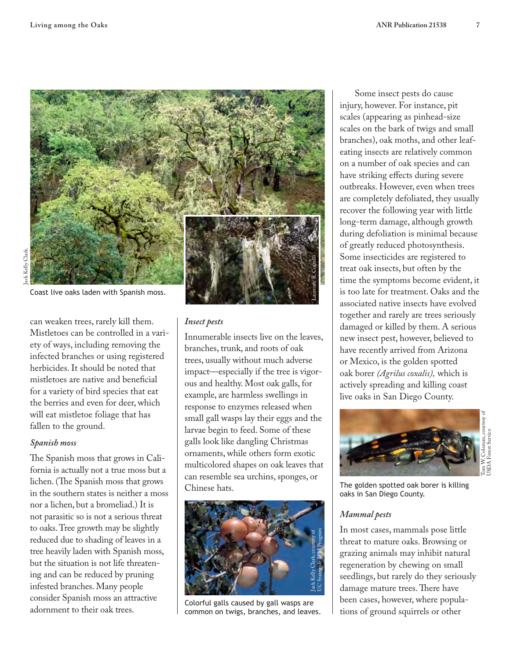

can weaken trees, rarely kill them. Mistletoes can be controlled in a variety of ways, including removing the infected branches or using registered herbicides. It should be noted that mistletoes are native and beneficial for a variety of bird species that eat the berries and even for deer, which will eat mistletoe foliage that has fallen to the ground.

#### *Spanish moss*

The Spanish moss that grows in California is actually not a true moss but a lichen. (The Spanish moss that grows in the southern states is neither a moss nor a lichen, but a bromeliad.) It is not parasitic so is not a serious threat to oaks. Tree growth may be slightly reduced due to shading of leaves in a tree heavily laden with Spanish moss, but the situation is not life threatening and can be reduced by pruning infested branches. Many people consider Spanish moss an attractive adornment to their oak trees.

#### *Insect pests*

Innumerable insects live on the leaves, branches, trunk, and roots of oak trees, usually without much adverse impact—especially if the tree is vigorous and healthy. Most oak galls, for example, are harmless swellings in response to enzymes released when small gall wasps lay their eggs and the larvae begin to feed. Some of these galls look like dangling Christmas ornaments, while others form exotic multicolored shapes on oak leaves that can resemble sea urchins, sponges, or Chinese hats.



Colorful galls caused by gall wasps are common on twigs, branches, and leaves.

Some insect pests do cause injury, however. For instance, pit scales (appearing as pinhead-size scales on the bark of twigs and small branches), oak moths, and other leafeating insects are relatively common on a number of oak species and can have striking effects during severe outbreaks. However, even when trees are completely defoliated, they usually recover the following year with little long-term damage, although growth during defoliation is minimal because of greatly reduced photosynthesis. Some insecticides are registered to treat oak insects, but often by the time the symptoms become evident, it is too late for treatment. Oaks and the associated native insects have evolved together and rarely are trees seriously damaged or killed by them. A serious new insect pest, however, believed to have recently arrived from Arizona or Mexico, is the golden spotted oak borer *(Agrilus coxalis),* which is actively spreading and killing coast live oaks in San Diego County.



The golden spotted oak borer is killing oaks in San Diego County.

#### *Mammal pests*

In most cases, mammals pose little threat to mature oaks. Browsing or grazing animals may inhibit natural regeneration by chewing on small seedlings, but rarely do they seriously damage mature trees. There have been cases, however, where populations of ground squirrels or other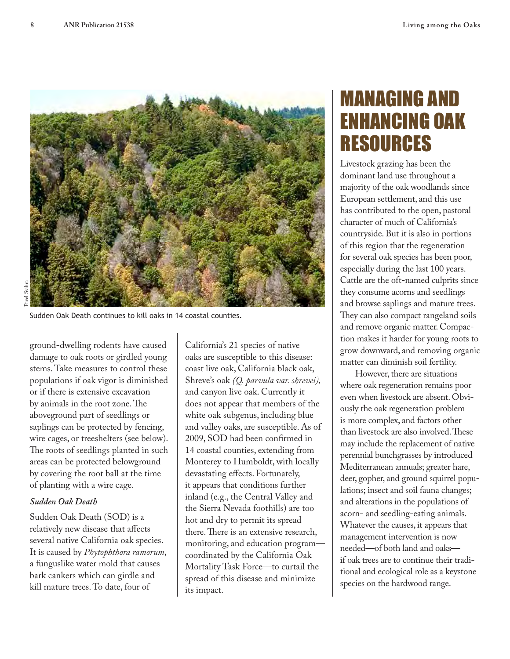

Sudden Oak Death continues to kill oaks in 14 coastal counties.

ground-dwelling rodents have caused damage to oak roots or girdled young stems. Take measures to control these populations if oak vigor is diminished or if there is extensive excavation by animals in the root zone. The aboveground part of seedlings or saplings can be protected by fencing, wire cages, or treeshelters (see below). The roots of seedlings planted in such areas can be protected belowground by covering the root ball at the time of planting with a wire cage.

#### *Sudden Oak Death*

Sudden Oak Death (SOD) is a relatively new disease that affects several native California oak species. It is caused by *Phytophthora ramorum*, a funguslike water mold that causes bark cankers which can girdle and kill mature trees. To date, four of

California's 21 species of native oaks are susceptible to this disease: coast live oak, California black oak, Shreve's oak *(Q. parvula var. shrevei),*  and canyon live oak. Currently it does not appear that members of the white oak subgenus, including blue and valley oaks, are susceptible. As of 2009, SOD had been confirmed in 14 coastal counties, extending from Monterey to Humboldt, with locally devastating effects. Fortunately, it appears that conditions further inland (e.g., the Central Valley and the Sierra Nevada foothills) are too hot and dry to permit its spread there. There is an extensive research, monitoring, and education program coordinated by the California Oak Mortality Task Force—to curtail the spread of this disease and minimize its impact.

# MANAGING AND ENHANCING OAK RESOURCES

Livestock grazing has been the dominant land use throughout a majority of the oak woodlands since European settlement, and this use has contributed to the open, pastoral character of much of California's countryside. But it is also in portions of this region that the regeneration for several oak species has been poor, especially during the last 100 years. Cattle are the oft-named culprits since they consume acorns and seedlings and browse saplings and mature trees. They can also compact rangeland soils and remove organic matter. Compaction makes it harder for young roots to grow downward, and removing organic matter can diminish soil fertility.

However, there are situations where oak regeneration remains poor even when livestock are absent. Obviously the oak regeneration problem is more complex, and factors other than livestock are also involved. These may include the replacement of native perennial bunchgrasses by introduced Mediterranean annuals; greater hare, deer, gopher, and ground squirrel populations; insect and soil fauna changes; and alterations in the populations of acorn- and seedling-eating animals. Whatever the causes, it appears that management intervention is now needed—of both land and oaks if oak trees are to continue their traditional and ecological role as a keystone species on the hardwood range.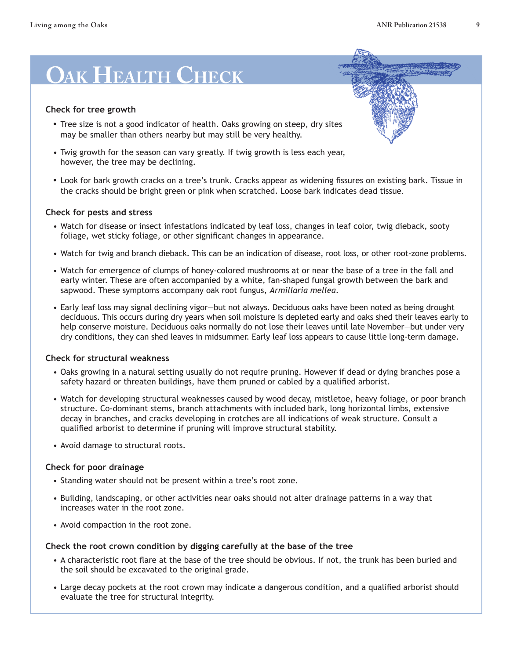# **Oak Health Check**

#### **Check for tree growth**

- Tree size is not a good indicator of health. Oaks growing on steep, dry sites may be smaller than others nearby but may still be very healthy.
- Twig growth for the season can vary greatly. If twig growth is less each year, however, the tree may be declining.
- Look for bark growth cracks on a tree's trunk. Cracks appear as widening fissures on existing bark. Tissue in the cracks should be bright green or pink when scratched. Loose bark indicates dead tissue.

#### **Check for pests and stress**

- Watch for disease or insect infestations indicated by leaf loss, changes in leaf color, twig dieback, sooty foliage, wet sticky foliage, or other significant changes in appearance.
- Watch for twig and branch dieback. This can be an indication of disease, root loss, or other root-zone problems.
- Watch for emergence of clumps of honey-colored mushrooms at or near the base of a tree in the fall and early winter. These are often accompanied by a white, fan-shaped fungal growth between the bark and sapwood. These symptoms accompany oak root fungus, *Armillaria mellea*.
- Early leaf loss may signal declining vigor—but not always. Deciduous oaks have been noted as being drought deciduous. This occurs during dry years when soil moisture is depleted early and oaks shed their leaves early to help conserve moisture. Deciduous oaks normally do not lose their leaves until late November—but under very dry conditions, they can shed leaves in midsummer. Early leaf loss appears to cause little long-term damage.

#### **Check for structural weakness**

- Oaks growing in a natural setting usually do not require pruning. However if dead or dying branches pose a safety hazard or threaten buildings, have them pruned or cabled by a qualified arborist.
- Watch for developing structural weaknesses caused by wood decay, mistletoe, heavy foliage, or poor branch structure. Co-dominant stems, branch attachments with included bark, long horizontal limbs, extensive decay in branches, and cracks developing in crotches are all indications of weak structure. Consult a qualified arborist to determine if pruning will improve structural stability.
- Avoid damage to structural roots.

#### **Check for poor drainage**

- Standing water should not be present within a tree's root zone.
- Building, landscaping, or other activities near oaks should not alter drainage patterns in a way that increases water in the root zone.
- Avoid compaction in the root zone.

#### **Check the root crown condition by digging carefully at the base of the tree**

- A characteristic root flare at the base of the tree should be obvious. If not, the trunk has been buried and the soil should be excavated to the original grade.
- Large decay pockets at the root crown may indicate a dangerous condition, and a qualified arborist should evaluate the tree for structural integrity.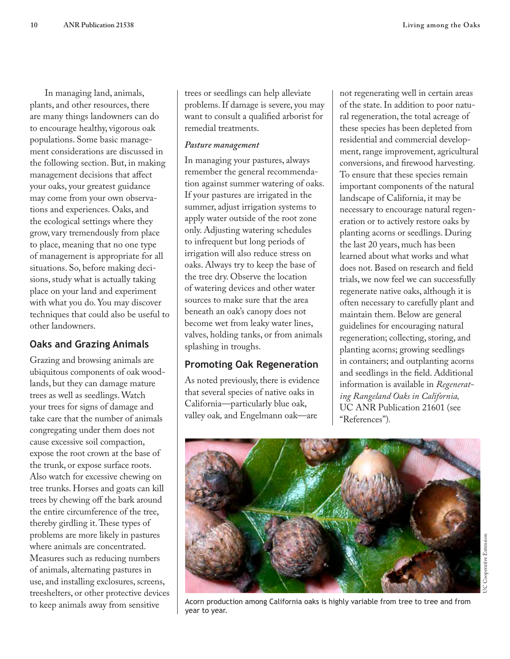In managing land, animals, plants, and other resources, there are many things landowners can do to encourage healthy, vigorous oak populations. Some basic management considerations are discussed in the following section. But, in making management decisions that affect your oaks, your greatest guidance may come from your own observations and experiences. Oaks, and the ecological settings where they grow, vary tremendously from place to place, meaning that no one type of management is appropriate for all situations. So, before making decisions, study what is actually taking place on your land and experiment with what you do. You may discover techniques that could also be useful to other landowners.

# **Oaks and Grazing Animals**

Grazing and browsing animals are ubiquitous components of oak woodlands, but they can damage mature trees as well as seedlings. Watch your trees for signs of damage and take care that the number of animals congregating under them does not cause excessive soil compaction, expose the root crown at the base of the trunk, or expose surface roots. Also watch for excessive chewing on tree trunks. Horses and goats can kill trees by chewing off the bark around the entire circumference of the tree, thereby girdling it. These types of problems are more likely in pastures where animals are concentrated. Measures such as reducing numbers of animals, alternating pastures in use, and installing exclosures, screens, treeshelters, or other protective devices to keep animals away from sensitive

trees or seedlings can help alleviate problems. If damage is severe, you may want to consult a qualified arborist for remedial treatments.

#### *Pasture management*

In managing your pastures, always remember the general recommendation against summer watering of oaks. If your pastures are irrigated in the summer, adjust irrigation systems to apply water outside of the root zone only. Adjusting watering schedules to infrequent but long periods of irrigation will also reduce stress on oaks. Always try to keep the base of the tree dry. Observe the location of watering devices and other water sources to make sure that the area beneath an oak's canopy does not become wet from leaky water lines, valves, holding tanks, or from animals splashing in troughs.

## **Promoting Oak Regeneration**

As noted previously, there is evidence that several species of native oaks in California—particularly blue oak, valley oak*,* and Engelmann oak—are

year to year.

not regenerating well in certain areas of the state. In addition to poor natural regeneration, the total acreage of these species has been depleted from residential and commercial development, range improvement, agricultural conversions, and firewood harvesting. To ensure that these species remain important components of the natural landscape of California, it may be necessary to encourage natural regeneration or to actively restore oaks by planting acorns or seedlings. During the last 20 years, much has been learned about what works and what does not. Based on research and field trials, we now feel we can successfully regenerate native oaks, although it is often necessary to carefully plant and maintain them. Below are general guidelines for encouraging natural regeneration; collecting, storing, and planting acorns; growing seedlings in containers; and outplanting acorns and seedlings in the field. Additional information is available in *Regenerating Rangeland Oaks in California,*  UC ANR Publication 21601 (see "References")*.*



Acorn production among California oaks is highly variable from tree to tree and from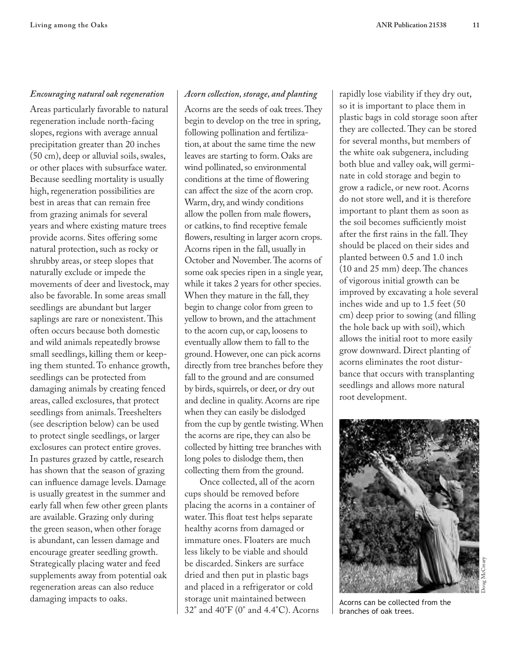## *Encouraging natural oak regeneration*

Areas particularly favorable to natural regeneration include north-facing slopes, regions with average annual precipitation greater than 20 inches (50 cm), deep or alluvial soils, swales, or other places with subsurface water. Because seedling mortality is usually high, regeneration possibilities are best in areas that can remain free from grazing animals for several years and where existing mature trees provide acorns. Sites offering some natural protection, such as rocky or shrubby areas, or steep slopes that naturally exclude or impede the movements of deer and livestock, may also be favorable. In some areas small seedlings are abundant but larger saplings are rare or nonexistent. This often occurs because both domestic and wild animals repeatedly browse small seedlings, killing them or keeping them stunted. To enhance growth, seedlings can be protected from damaging animals by creating fenced areas, called exclosures, that protect seedlings from animals. Treeshelters (see description below) can be used to protect single seedlings, or larger exclosures can protect entire groves. In pastures grazed by cattle, research has shown that the season of grazing can influence damage levels. Damage is usually greatest in the summer and early fall when few other green plants are available. Grazing only during the green season, when other forage is abundant, can lessen damage and encourage greater seedling growth. Strategically placing water and feed supplements away from potential oak regeneration areas can also reduce damaging impacts to oaks.

#### *Acorn collection, storage, and planting*

Acorns are the seeds of oak trees. They begin to develop on the tree in spring, following pollination and fertilization, at about the same time the new leaves are starting to form. Oaks are wind pollinated, so environmental conditions at the time of flowering can affect the size of the acorn crop. Warm, dry, and windy conditions allow the pollen from male flowers, or catkins, to find receptive female flowers, resulting in larger acorn crops. Acorns ripen in the fall, usually in October and November. The acorns of some oak species ripen in a single year, while it takes 2 years for other species. When they mature in the fall, they begin to change color from green to yellow to brown, and the attachment to the acorn cup, or cap, loosens to eventually allow them to fall to the ground. However, one can pick acorns directly from tree branches before they fall to the ground and are consumed by birds, squirrels, or deer, or dry out and decline in quality. Acorns are ripe when they can easily be dislodged from the cup by gentle twisting. When the acorns are ripe, they can also be collected by hitting tree branches with long poles to dislodge them, then collecting them from the ground.

Once collected, all of the acorn cups should be removed before placing the acorns in a container of water. This float test helps separate healthy acorns from damaged or immature ones. Floaters are much less likely to be viable and should be discarded. Sinkers are surface dried and then put in plastic bags and placed in a refrigerator or cold storage unit maintained between 32° and 40°F (0° and 4.4°C). Acorns rapidly lose viability if they dry out, so it is important to place them in plastic bags in cold storage soon after they are collected. They can be stored for several months, but members of the white oak subgenera, including both blue and valley oak, will germinate in cold storage and begin to grow a radicle, or new root. Acorns do not store well, and it is therefore important to plant them as soon as the soil becomes sufficiently moist after the first rains in the fall. They should be placed on their sides and planted between 0.5 and 1.0 inch (10 and 25 mm) deep. The chances of vigorous initial growth can be improved by excavating a hole several inches wide and up to 1.5 feet (50 cm) deep prior to sowing (and filling the hole back up with soil), which allows the initial root to more easily grow downward. Direct planting of acorns eliminates the root disturbance that occurs with transplanting seedlings and allows more natural root development.



Acorns can be collected from the branches of oak trees.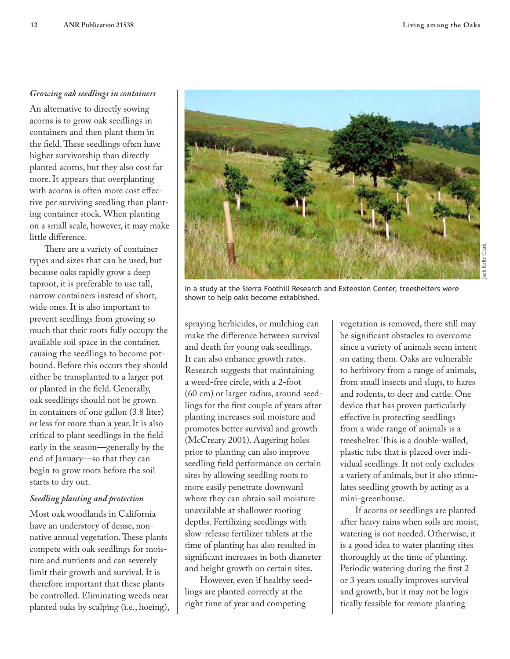#### *Growing oak seedlings in containers*

An alternative to directly sowing acorns is to grow oak seedlings in containers and then plant them in the field. These seedlings often have higher survivorship than directly planted acorns, but they also cost far more. It appears that overplanting with acorns is often more cost effective per surviving seedling than planting container stock. When planting on a small scale, however, it may make little difference.

There are a variety of container types and sizes that can be used, but because oaks rapidly grow a deep taproot, it is preferable to use tall, narrow containers instead of short, wide ones. It is also important to prevent seedlings from growing so much that their roots fully occupy the available soil space in the container, causing the seedlings to become potbound. Before this occurs they should either be transplanted to a larger pot or planted in the field. Generally, oak seedlings should not be grown in containers of one gallon (3.8 liter) or less for more than a year. It is also critical to plant seedlings in the field early in the season—generally by the end of January—so that they can begin to grow roots before the soil starts to dry out.

#### *Seedling planting and protection*

Most oak woodlands in California have an understory of dense, nonnative annual vegetation. These plants compete with oak seedlings for moisture and nutrients and can severely limit their growth and survival. It is therefore important that these plants be controlled. Eliminating weeds near planted oaks by scalping (i.e., hoeing), In a study at the Sierra Foothill Research and Extension Center, treeshelters were shown to help oaks become established.

spraying herbicides, or mulching can make the difference between survival and death for young oak seedlings. It can also enhance growth rates. Research suggests that maintaining a weed-free circle, with a 2-foot (60 cm) or larger radius, around seedlings for the first couple of years after planting increases soil moisture and promotes better survival and growth (McCreary 2001). Augering holes prior to planting can also improve seedling field performance on certain sites by allowing seedling roots to more easily penetrate downward where they can obtain soil moisture unavailable at shallower rooting depths. Fertilizing seedlings with slow-release fertilizer tablets at the time of planting has also resulted in significant increases in both diameter and height growth on certain sites.

However, even if healthy seedlings are planted correctly at the right time of year and competing

vegetation is removed, there still may be significant obstacles to overcome since a variety of animals seem intent on eating them. Oaks are vulnerable to herbivory from a range of animals, from small insects and slugs, to hares and rodents, to deer and cattle. One device that has proven particularly effective in protecting seedlings from a wide range of animals is a treeshelter. This is a double-walled, plastic tube that is placed over individual seedlings. It not only excludes a variety of animals, but it also stimulates seedling growth by acting as a mini-greenhouse.

If acorns or seedlings are planted after heavy rains when soils are moist, watering is not needed. Otherwise, it is a good idea to water planting sites thoroughly at the time of planting. Periodic watering during the first 2 or 3 years usually improves survival and growth, but it may not be logistically feasible for remote planting

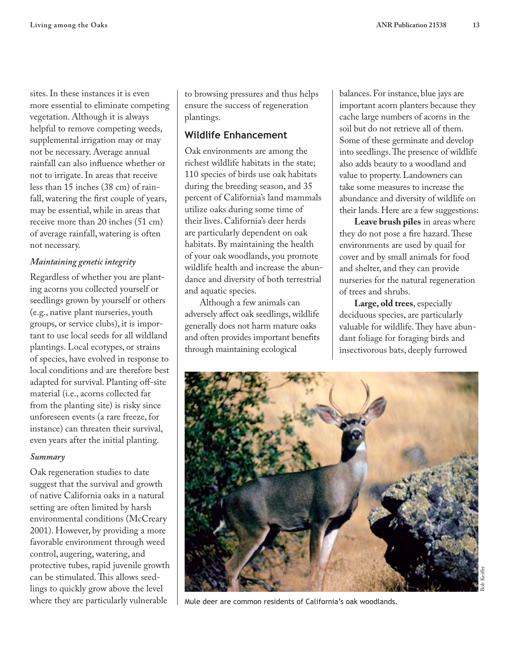sites. In these instances it is even more essential to eliminate competing vegetation. Although it is always helpful to remove competing weeds, supplemental irrigation may or may not be necessary. Average annual rainfall can also influence whether or not to irrigate. In areas that receive less than 15 inches (38 cm) of rainfall, watering the first couple of years, may be essential, while in areas that receive more than 20 inches (51 cm) of average rainfall, watering is often not necessary.

## *Maintaining genetic integrity*

Regardless of whether you are planting acorns you collected yourself or seedlings grown by yourself or others (e.g., native plant nurseries, youth groups, or service clubs), it is important to use local seeds for all wildland plantings. Local ecotypes, or strains of species, have evolved in response to local conditions and are therefore best adapted for survival. Planting off-site material (i.e., acorns collected far from the planting site) is risky since unforeseen events (a rare freeze, for instance) can threaten their survival, even years after the initial planting.

#### *Summary*

Oak regeneration studies to date suggest that the survival and growth of native California oaks in a natural setting are often limited by harsh environmental conditions (McCreary 2001). However, by providing a more favorable environment through weed control, augering, watering, and protective tubes, rapid juvenile growth can be stimulated. This allows seedlings to quickly grow above the level where they are particularly vulnerable

to browsing pressures and thus helps ensure the success of regeneration plantings.

# **Wildlife Enhancement**

Oak environments are among the richest wildlife habitats in the state; 110 species of birds use oak habitats during the breeding season, and 35 percent of California's land mammals utilize oaks during some time of their lives. California's deer herds are particularly dependent on oak habitats. By maintaining the health of your oak woodlands, you promote wildlife health and increase the abundance and diversity of both terrestrial and aquatic species.

Although a few animals can adversely affect oak seedlings, wildlife generally does not harm mature oaks and often provides important benefits through maintaining ecological

balances. For instance, blue jays are important acorn planters because they cache large numbers of acorns in the soil but do not retrieve all of them. Some of these germinate and develop into seedlings. The presence of wildlife also adds beauty to a woodland and value to property. Landowners can take some measures to increase the abundance and diversity of wildlife on their lands. Here are a few suggestions:

**Leave brush piles** in areas where they do not pose a fire hazard. These environments are used by quail for cover and by small animals for food and shelter, and they can provide nurseries for the natural regeneration of trees and shrubs.

**Large, old trees**, especially deciduous species, are particularly valuable for wildlife. They have abundant foliage for foraging birds and insectivorous bats, deeply furrowed



Mule deer are common residents of California's oak woodlands.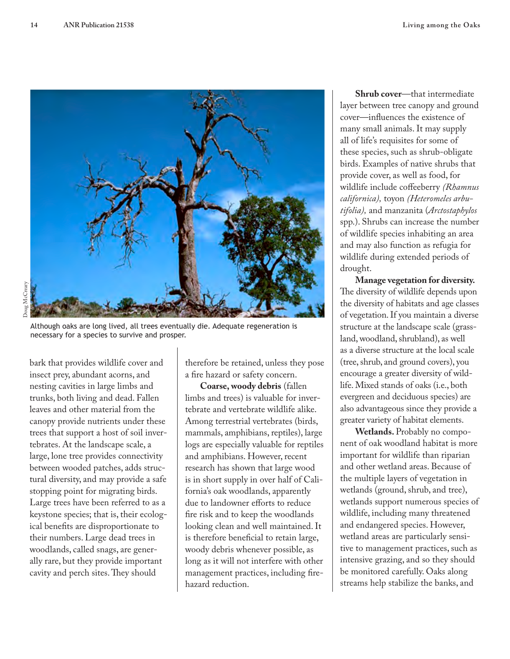

Although oaks are long lived, all trees eventually die. Adequate regeneration is necessary for a species to survive and prosper.

bark that provides wildlife cover and insect prey, abundant acorns, and nesting cavities in large limbs and trunks, both living and dead. Fallen leaves and other material from the canopy provide nutrients under these trees that support a host of soil invertebrates. At the landscape scale, a large, lone tree provides connectivity between wooded patches, adds structural diversity, and may provide a safe stopping point for migrating birds. Large trees have been referred to as a keystone species; that is, their ecological benefits are disproportionate to their numbers. Large dead trees in woodlands, called snags, are generally rare, but they provide important cavity and perch sites. They should

therefore be retained, unless they pose a fire hazard or safety concern.

**Coarse, woody debris** (fallen limbs and trees) is valuable for invertebrate and vertebrate wildlife alike. Among terrestrial vertebrates (birds, mammals, amphibians, reptiles), large logs are especially valuable for reptiles and amphibians. However, recent research has shown that large wood is in short supply in over half of California's oak woodlands, apparently due to landowner efforts to reduce fire risk and to keep the woodlands looking clean and well maintained. It is therefore beneficial to retain large, woody debris whenever possible, as long as it will not interfere with other management practices, including firehazard reduction.

**Shrub cover**—that intermediate layer between tree canopy and ground cover—influences the existence of many small animals. It may supply all of life's requisites for some of these species, such as shrub-obligate birds. Examples of native shrubs that provide cover, as well as food, for wildlife include coffeeberry *(Rhamnus californica),* toyon *(Heteromeles arbutifolia),* and manzanita (*Arctostaphylos* spp.). Shrubs can increase the number of wildlife species inhabiting an area and may also function as refugia for wildlife during extended periods of drought.

**Manage vegetation for diversity.** The diversity of wildlife depends upon the diversity of habitats and age classes of vegetation. If you maintain a diverse structure at the landscape scale (grassland, woodland, shrubland), as well as a diverse structure at the local scale (tree, shrub, and ground covers), you encourage a greater diversity of wildlife. Mixed stands of oaks (i.e., both evergreen and deciduous species) are also advantageous since they provide a greater variety of habitat elements.

**Wetlands.** Probably no component of oak woodland habitat is more important for wildlife than riparian and other wetland areas. Because of the multiple layers of vegetation in wetlands (ground, shrub, and tree), wetlands support numerous species of wildlife, including many threatened and endangered species. However, wetland areas are particularly sensitive to management practices, such as intensive grazing, and so they should be monitored carefully. Oaks along streams help stabilize the banks, and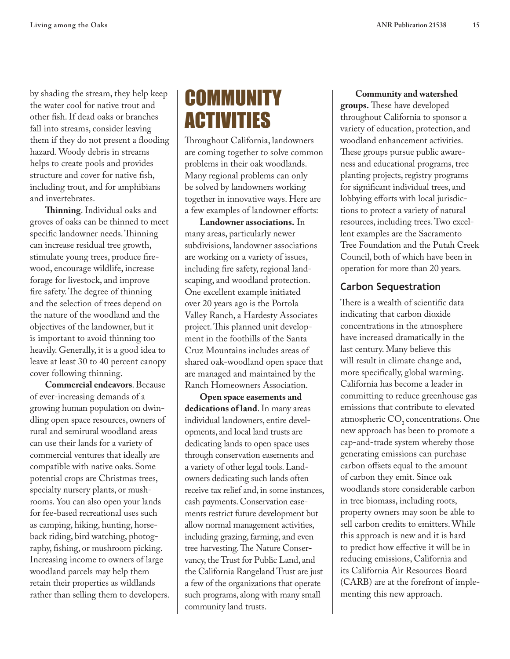by shading the stream, they help keep the water cool for native trout and other fish. If dead oaks or branches fall into streams, consider leaving them if they do not present a flooding hazard. Woody debris in streams helps to create pools and provides structure and cover for native fish, including trout, and for amphibians and invertebrates.

**Thinning**. Individual oaks and groves of oaks can be thinned to meet specific landowner needs. Thinning can increase residual tree growth, stimulate young trees, produce firewood, encourage wildlife, increase forage for livestock, and improve fire safety. The degree of thinning and the selection of trees depend on the nature of the woodland and the objectives of the landowner, but it is important to avoid thinning too heavily. Generally, it is a good idea to leave at least 30 to 40 percent canopy cover following thinning.

**Commercial endeavors**. Because of ever-increasing demands of a growing human population on dwindling open space resources, owners of rural and semirural woodland areas can use their lands for a variety of commercial ventures that ideally are compatible with native oaks. Some potential crops are Christmas trees, specialty nursery plants, or mushrooms. You can also open your lands for fee-based recreational uses such as camping, hiking, hunting, horseback riding, bird watching, photography, fishing, or mushroom picking. Increasing income to owners of large woodland parcels may help them retain their properties as wildlands rather than selling them to developers.

# COMMUNITY ACTIVITIES

Throughout California, landowners are coming together to solve common problems in their oak woodlands. Many regional problems can only be solved by landowners working together in innovative ways. Here are a few examples of landowner efforts:

**Landowner associations.** In many areas, particularly newer subdivisions, landowner associations are working on a variety of issues, including fire safety, regional landscaping, and woodland protection. One excellent example initiated over 20 years ago is the Portola Valley Ranch, a Hardesty Associates project. This planned unit development in the foothills of the Santa Cruz Mountains includes areas of shared oak-woodland open space that are managed and maintained by the Ranch Homeowners Association.

**Open space easements and dedications of land**. In many areas individual landowners, entire developments, and local land trusts are dedicating lands to open space uses through conservation easements and a variety of other legal tools. Landowners dedicating such lands often receive tax relief and, in some instances, cash payments. Conservation easements restrict future development but allow normal management activities, including grazing, farming, and even tree harvesting. The Nature Conservancy, the Trust for Public Land, and the California Rangeland Trust are just a few of the organizations that operate such programs, along with many small community land trusts.

#### **Community and watershed**

**groups.** These have developed throughout California to sponsor a variety of education, protection, and woodland enhancement activities. These groups pursue public awareness and educational programs, tree planting projects, registry programs for significant individual trees, and lobbying efforts with local jurisdictions to protect a variety of natural resources, including trees. Two excellent examples are the Sacramento Tree Foundation and the Putah Creek Council, both of which have been in operation for more than 20 years.

## **Carbon Sequestration**

There is a wealth of scientific data indicating that carbon dioxide concentrations in the atmosphere have increased dramatically in the last century. Many believe this will result in climate change and, more specifically, global warming. California has become a leader in committing to reduce greenhouse gas emissions that contribute to elevated atmospheric  $CO<sub>2</sub>$  concentrations. One new approach has been to promote a cap-and-trade system whereby those generating emissions can purchase carbon offsets equal to the amount of carbon they emit. Since oak woodlands store considerable carbon in tree biomass, including roots, property owners may soon be able to sell carbon credits to emitters. While this approach is new and it is hard to predict how effective it will be in reducing emissions, California and its California Air Resources Board (CARB) are at the forefront of implementing this new approach.